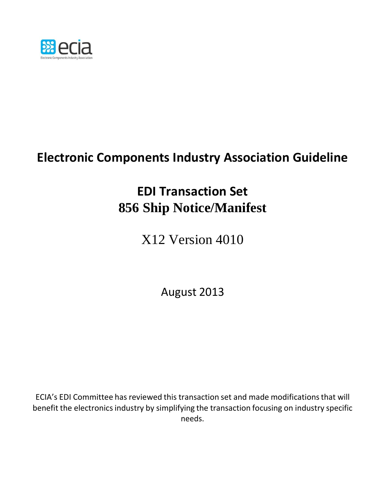

## **Electronic Components Industry Association Guideline**

## **EDI Transaction Set 856 Ship Notice/Manifest**

X12 Version 4010

August 2013

ECIA's EDI Committee has reviewed this transaction set and made modificationsthat will benefit the electronics industry by simplifying the transaction focusing on industry specific needs.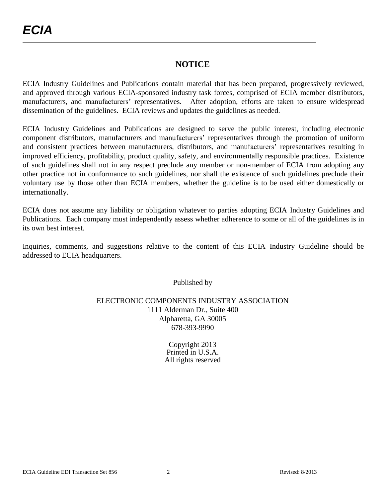#### **NOTICE**

ECIA Industry Guidelines and Publications contain material that has been prepared, progressively reviewed, and approved through various ECIA-sponsored industry task forces, comprised of ECIA member distributors, manufacturers, and manufacturers' representatives. After adoption, efforts are taken to ensure widespread dissemination of the guidelines. ECIA reviews and updates the guidelines as needed.

ECIA Industry Guidelines and Publications are designed to serve the public interest, including electronic component distributors, manufacturers and manufacturers' representatives through the promotion of uniform and consistent practices between manufacturers, distributors, and manufacturers' representatives resulting in improved efficiency, profitability, product quality, safety, and environmentally responsible practices. Existence of such guidelines shall not in any respect preclude any member or non-member of ECIA from adopting any other practice not in conformance to such guidelines, nor shall the existence of such guidelines preclude their voluntary use by those other than ECIA members, whether the guideline is to be used either domestically or internationally.

ECIA does not assume any liability or obligation whatever to parties adopting ECIA Industry Guidelines and Publications. Each company must independently assess whether adherence to some or all of the guidelines is in its own best interest.

Inquiries, comments, and suggestions relative to the content of this ECIA Industry Guideline should be addressed to ECIA headquarters.

Published by

#### ELECTRONIC COMPONENTS INDUSTRY ASSOCIATION 1111 Alderman Dr., Suite 400 Alpharetta, GA 30005 678-393-9990

Copyright 2013 Printed in U.S.A. All rights reserved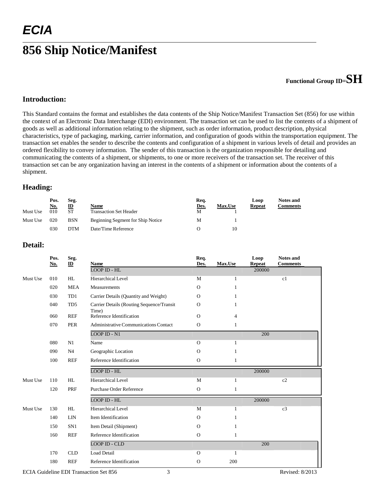### **856 Ship Notice/Manifest**

### **Functional Group ID=SH**

#### **Introduction:**

This Standard contains the format and establishes the data contents of the Ship Notice/Manifest Transaction Set (856) for use within the context of an Electronic Data Interchange (EDI) environment. The transaction set can be used to list the contents of a shipment of goods as well as additional information relating to the shipment, such as order information, product description, physical characteristics, type of packaging, marking, carrier information, and configuration of goods within the transportation equipment. The transaction set enables the sender to describe the contents and configuration of a shipment in various levels of detail and provides an ordered flexibility to convey information. The sender of this transaction is the organization responsible for detailing and communicating the contents of a shipment, or shipments, to one or more receivers of the transaction set. The receiver of this transaction set can be any organization having an interest in the contents of a shipment or information about the contents of a shipment.

#### **Heading:**

|          | Pos.       | Seg.         |                                   | Req. |                | Loop          | <b>Notes and</b> |
|----------|------------|--------------|-----------------------------------|------|----------------|---------------|------------------|
|          | <u>No.</u> | $\mathbf{D}$ | Name                              | Des. | <b>Max.Use</b> | <b>Repeat</b> | Comments         |
| Must Use | 010        | <b>ST</b>    | <b>Transaction Set Header</b>     | M    |                |               |                  |
| Must Use | 020        | <b>BSN</b>   | Beginning Segment for Ship Notice | M    |                |               |                  |
|          | 030        | <b>DTM</b>   | Date/Time Reference               |      | 10             |               |                  |

#### **Detail:**

|          | Pos.<br>No. | Seg.<br>$\mathbf{D}$ | <b>Name</b>                                        | Req.<br>Des. | Max.Use        | Loop<br><b>Repeat</b> | <b>Notes and</b><br><b>Comments</b> |
|----------|-------------|----------------------|----------------------------------------------------|--------------|----------------|-----------------------|-------------------------------------|
|          |             |                      | <b>LOOP ID - HL</b>                                |              |                | 200000                |                                     |
| Must Use | 010         | HL                   | <b>Hierarchical Level</b>                          | M            | 1              |                       | c1                                  |
|          | 020         | <b>MEA</b>           | Measurements                                       | $\Omega$     | 1              |                       |                                     |
|          | 030         | TD1                  | Carrier Details (Quantity and Weight)              | $\mathbf{O}$ | 1              |                       |                                     |
|          | 040         | TD5                  | Carrier Details (Routing Sequence/Transit<br>Time) | $\mathbf{O}$ | 1              |                       |                                     |
|          | 060         | <b>REF</b>           | Reference Identification                           | $\Omega$     | $\overline{4}$ |                       |                                     |
|          | 070         | <b>PER</b>           | Administrative Communications Contact              | $\mathbf O$  | $\mathbf{1}$   |                       |                                     |
|          |             |                      | <b>LOOP ID - N1</b>                                |              |                | 200                   |                                     |
|          | 080         | N1                   | Name                                               | $\Omega$     | $\mathbf{1}$   |                       |                                     |
|          | 090         | N <sub>4</sub>       | Geographic Location                                | $\mathbf{O}$ | $\mathbf{1}$   |                       |                                     |
|          | 100         | <b>REF</b>           | Reference Identification                           | $\mathbf{O}$ | 1              |                       |                                     |
|          |             |                      | <b>LOOP ID - HL</b>                                |              |                | 200000                |                                     |
| Must Use | 110         | HL                   | <b>Hierarchical Level</b>                          | M            | 1              |                       | c2                                  |
|          | 120         | PRF                  | <b>Purchase Order Reference</b>                    | $\mathbf O$  | $\mathbf{1}$   |                       |                                     |
|          |             |                      | $LOOP$ ID - HL                                     |              |                | 200000                |                                     |
| Must Use | 130         | HL                   | <b>Hierarchical Level</b>                          | M            | 1              |                       | c3                                  |
|          | 140         | <b>LIN</b>           | Item Identification                                | $\mathbf{O}$ | 1              |                       |                                     |
|          | 150         | SN <sub>1</sub>      | Item Detail (Shipment)                             | $\Omega$     | 1              |                       |                                     |
|          | 160         | <b>REF</b>           | Reference Identification                           | $\mathbf O$  | 1              |                       |                                     |
|          |             |                      | <b>LOOP ID - CLD</b>                               |              |                | 200                   |                                     |
|          | 170         | <b>CLD</b>           | Load Detail                                        | $\mathbf{O}$ | 1              |                       |                                     |
|          | 180         | <b>REF</b>           | Reference Identification                           | $\Omega$     | 200            |                       |                                     |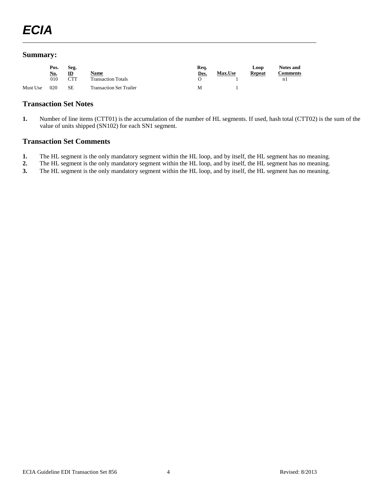#### **Summary:**

|          | Pos.       | Seg.       |                                | Req. |                | Loop   | <b>Notes and</b> |
|----------|------------|------------|--------------------------------|------|----------------|--------|------------------|
|          | <u>No.</u> | ID         | <b>Name</b>                    | Des. | <b>Max.Use</b> | Repeat | <b>Comments</b>  |
|          | 010        | <b>CTT</b> | <b>Transaction Totals</b>      |      |                |        | n 1              |
| Must Use | 020        | SЕ         | <b>Transaction Set Trailer</b> | M    |                |        |                  |

#### **Transaction Set Notes**

**1.** Number of line items (CTT01) is the accumulation of the number of HL segments. If used, hash total (CTT02) is the sum of the value of units shipped (SN102) for each SN1 segment.

#### **Transaction Set Comments**

- **1.** The HL segment is the only mandatory segment within the HL loop, and by itself, the HL segment has no meaning.<br>**2.** The HL segment is the only mandatory segment within the HL loop, and by itself, the HL segment has no
- **2.** The HL segment is the only mandatory segment within the HL loop, and by itself, the HL segment has no meaning.
- **3.** The HL segment is the only mandatory segment within the HL loop, and by itself, the HL segment has no meaning.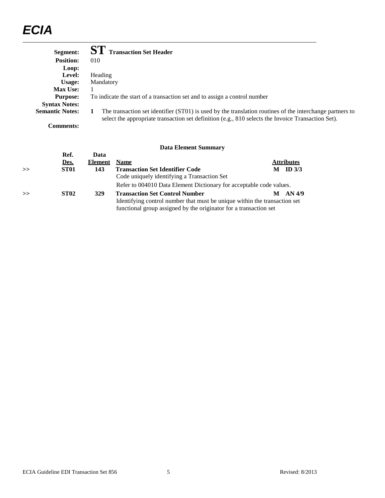| Segment:               | <b>SI</b> Transaction Set Header                                                                                                                                                                               |
|------------------------|----------------------------------------------------------------------------------------------------------------------------------------------------------------------------------------------------------------|
| <b>Position:</b>       | 010                                                                                                                                                                                                            |
| Loop:                  |                                                                                                                                                                                                                |
| Level:                 | <b>Heading</b>                                                                                                                                                                                                 |
| Usage:                 | Mandatory                                                                                                                                                                                                      |
| <b>Max Use:</b>        |                                                                                                                                                                                                                |
| <b>Purpose:</b>        | To indicate the start of a transaction set and to assign a control number                                                                                                                                      |
| <b>Syntax Notes:</b>   |                                                                                                                                                                                                                |
| <b>Semantic Notes:</b> | The transaction set identifier (ST01) is used by the translation routines of the interchange partners to<br>select the appropriate transaction set definition (e.g., 810 selects the Invoice Transaction Set). |
| Comments:              |                                                                                                                                                                                                                |

|               |                  |                | рата еленісін биншілі у                                                   |   |                   |
|---------------|------------------|----------------|---------------------------------------------------------------------------|---|-------------------|
|               | Ref.             | Data           |                                                                           |   |                   |
|               | Des.             | <b>Element</b> | <b>Name</b>                                                               |   | <b>Attributes</b> |
| $\rightarrow$ | ST <sub>01</sub> | 143            | <b>Transaction Set Identifier Code</b>                                    | M | ID $3/3$          |
|               |                  |                | Code uniquely identifying a Transaction Set                               |   |                   |
|               |                  |                | Refer to 004010 Data Element Dictionary for acceptable code values.       |   |                   |
| >             | <b>ST02</b>      | 329            | <b>Transaction Set Control Number</b>                                     | M | AN 4/9            |
|               |                  |                | Identifying control number that must be unique within the transaction set |   |                   |
|               |                  |                | functional group assigned by the originator for a transaction set         |   |                   |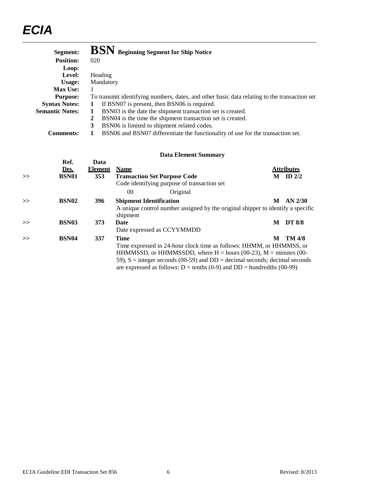| Segment:               | BSN Beginning Segment for Ship Notice                                                        |
|------------------------|----------------------------------------------------------------------------------------------|
| <b>Position:</b>       | 020                                                                                          |
| Loop:                  |                                                                                              |
| Level:                 | Heading                                                                                      |
| Usage:                 | Mandatory                                                                                    |
| <b>Max Use:</b>        |                                                                                              |
| <b>Purpose:</b>        | To transmit identifying numbers, dates, and other basic data relating to the transaction set |
| <b>Syntax Notes:</b>   | If BSN07 is present, then BSN06 is required.<br>1                                            |
| <b>Semantic Notes:</b> | BSN03 is the date the shipment transaction set is created.<br>1                              |
|                        | BSN04 is the time the shipment transaction set is created.<br>2                              |
|                        | 3<br>BSN06 is limited to shipment related codes.                                             |
| <b>Comments:</b>       | BSN06 and BSN07 differentiate the functionality of use for the transaction set.              |

|   |                   |         | рана експісіні банніцаг у                                                                                                                                                                                                   |   |                   |
|---|-------------------|---------|-----------------------------------------------------------------------------------------------------------------------------------------------------------------------------------------------------------------------------|---|-------------------|
|   | Ref.              | Data    |                                                                                                                                                                                                                             |   |                   |
|   | Des.              | Element | <b>Name</b>                                                                                                                                                                                                                 |   | <b>Attributes</b> |
| > | <b>BSN01</b>      | 353     | <b>Transaction Set Purpose Code</b>                                                                                                                                                                                         | M | ID $2/2$          |
|   |                   |         | Code identifying purpose of transaction set                                                                                                                                                                                 |   |                   |
|   |                   |         | Original<br>00                                                                                                                                                                                                              |   |                   |
| > | <b>BSN02</b>      | 396     | <b>Shipment Identification</b>                                                                                                                                                                                              | M | $AN$ 2/30         |
|   |                   |         | A unique control number assigned by the original shipper to identify a specific<br>shipment                                                                                                                                 |   |                   |
| > | BSN <sub>03</sub> | 373     | Date                                                                                                                                                                                                                        | M | <b>DT 8/8</b>     |
|   |                   |         | Date expressed as CCYYMMDD                                                                                                                                                                                                  |   |                   |
| > | <b>BSN04</b>      | 337     | <b>Time</b>                                                                                                                                                                                                                 | M | TM 4/8            |
|   |                   |         | Time expressed in 24-hour clock time as follows: HHMM, or HHMMSS, or<br>HHMMSSD, or HHMMSSDD, where $H =$ hours (00-23), $M =$ minutes (00-<br>59), $S =$ integer seconds (00-59) and DD = decimal seconds; decimal seconds |   |                   |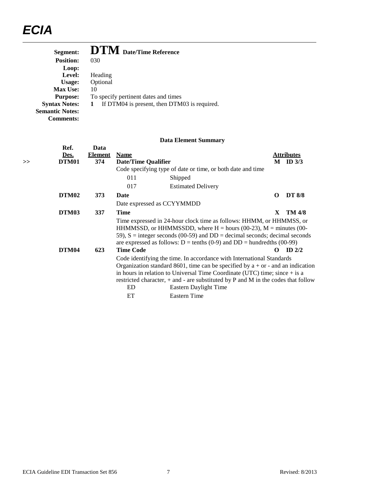| Segment:               | <b>DTM</b> Date/Time Reference               |
|------------------------|----------------------------------------------|
| <b>Position:</b>       | 030                                          |
| Loop:                  |                                              |
| Level:                 | Heading                                      |
| Usage:                 | Optional                                     |
| <b>Max Use:</b>        | 10                                           |
| <b>Purpose:</b>        | To specify pertinent dates and times         |
| <b>Syntax Notes:</b>   | If DTM04 is present, then DTM03 is required. |
| <b>Semantic Notes:</b> |                                              |
| Comments:              |                                              |

|    | Ref.<br>Des. | Data<br><b>Element</b> | <b>Name</b>         |                                                                                                                                                                                                                                                                                                                                                              |   | <b>Attributes</b> |  |
|----|--------------|------------------------|---------------------|--------------------------------------------------------------------------------------------------------------------------------------------------------------------------------------------------------------------------------------------------------------------------------------------------------------------------------------------------------------|---|-------------------|--|
| >> | DTM01        | 374                    | Date/Time Qualifier |                                                                                                                                                                                                                                                                                                                                                              | M | ID $3/3$          |  |
|    |              |                        |                     | Code specifying type of date or time, or both date and time                                                                                                                                                                                                                                                                                                  |   |                   |  |
|    |              |                        | 011                 | Shipped                                                                                                                                                                                                                                                                                                                                                      |   |                   |  |
|    |              |                        | 017                 | <b>Estimated Delivery</b>                                                                                                                                                                                                                                                                                                                                    |   |                   |  |
|    | DTM02        | 373                    | Date                |                                                                                                                                                                                                                                                                                                                                                              | O | <b>DT 8/8</b>     |  |
|    |              |                        |                     | Date expressed as CCYYMMDD                                                                                                                                                                                                                                                                                                                                   |   |                   |  |
|    | DTM03        | 337                    | <b>Time</b>         |                                                                                                                                                                                                                                                                                                                                                              | X | <b>TM 4/8</b>     |  |
|    | <b>DTM04</b> | 623                    | <b>Time Code</b>    | Time expressed in 24-hour clock time as follows: HHMM, or HHMMSS, or<br>HHMMSSD, or HHMMSSDD, where $H =$ hours (00-23), $M =$ minutes (00-<br>59), $S =$ integer seconds (00-59) and $DD =$ decimal seconds; decimal seconds<br>are expressed as follows: $D = \text{tenths} (0-9)$ and $DD = \text{hundredths} (00-99)$                                    | 0 | $ID$ 2/2          |  |
|    |              |                        | ED                  | Code identifying the time. In accordance with International Standards<br>Organization standard 8601, time can be specified by $a + or -$ and an indication<br>in hours in relation to Universal Time Coordinate (UTC) time; since $+$ is a<br>restricted character, $+$ and $-$ are substituted by P and M in the codes that follow<br>Eastern Daylight Time |   |                   |  |
|    |              |                        | ET                  | Eastern Time                                                                                                                                                                                                                                                                                                                                                 |   |                   |  |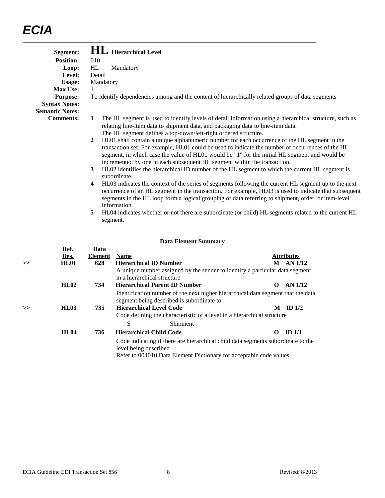| Segment:               | <b>HL</b> Hierarchical Level                                                                                                                                                                                                                                                                                                                                                                                                                                                                                                       |
|------------------------|------------------------------------------------------------------------------------------------------------------------------------------------------------------------------------------------------------------------------------------------------------------------------------------------------------------------------------------------------------------------------------------------------------------------------------------------------------------------------------------------------------------------------------|
| Position:              | 010                                                                                                                                                                                                                                                                                                                                                                                                                                                                                                                                |
| Loop:                  | HL<br>Mandatory                                                                                                                                                                                                                                                                                                                                                                                                                                                                                                                    |
| Level:                 | Detail                                                                                                                                                                                                                                                                                                                                                                                                                                                                                                                             |
| <b>Usage:</b>          | Mandatory                                                                                                                                                                                                                                                                                                                                                                                                                                                                                                                          |
| <b>Max Use:</b>        |                                                                                                                                                                                                                                                                                                                                                                                                                                                                                                                                    |
| <b>Purpose:</b>        | To identify dependencies among and the content of hierarchically related groups of data segments                                                                                                                                                                                                                                                                                                                                                                                                                                   |
| <b>Syntax Notes:</b>   |                                                                                                                                                                                                                                                                                                                                                                                                                                                                                                                                    |
| <b>Semantic Notes:</b> |                                                                                                                                                                                                                                                                                                                                                                                                                                                                                                                                    |
| <b>Comments:</b>       | The HL segment is used to identify levels of detail information using a hierarchical structure, such as<br>1<br>relating line-item data to shipment data, and packaging data to line-item data.<br>The HL segment defines a top-down/left-right ordered structure.                                                                                                                                                                                                                                                                 |
|                        | HL01 shall contain a unique alphanumeric number for each occurrence of the HL segment in the<br>$\overline{2}$<br>transaction set. For example, HL01 could be used to indicate the number of occurrences of the HL<br>segment, in which case the value of HL01 would be "1" for the initial HL segment and would be<br>incremented by one in each subsequent HL segment within the transaction.<br>HL02 identifies the hierarchical ID number of the HL segment to which the current HL segment is<br>$\mathbf{3}$<br>subordinate. |
|                        | HL03 indicates the context of the series of segments following the current HL segment up to the next<br>4<br>occurrence of an HL segment in the transaction. For example, HL03 is used to indicate that subsequent<br>segments in the HL loop form a logical grouping of data referring to shipment, order, or item-level<br>information.                                                                                                                                                                                          |
|                        | HL04 indicates whether or not there are subordinate (or child) HL segments related to the current HL<br>5<br>segment.                                                                                                                                                                                                                                                                                                                                                                                                              |

| >> | Ref.<br>Des.<br><b>HL01</b> | Data<br><b>Element</b><br>628 | <b>Name</b>           | <b>Hierarchical ID Number</b>                                                                                                                           | M        | <b>Attributes</b><br>AN 1/12 |
|----|-----------------------------|-------------------------------|-----------------------|---------------------------------------------------------------------------------------------------------------------------------------------------------|----------|------------------------------|
|    | HL02                        | 734                           |                       | A unique number assigned by the sender to identify a particular data segment<br>in a hierarchical structure<br><b>Hierarchical Parent ID Number</b>     | $\Omega$ | AN 1/12                      |
|    |                             |                               |                       | Identification number of the next higher hierarchical data segment that the data<br>segment being described is subordinate to                           |          |                              |
| >  | HL03                        | 735                           |                       | <b>Hierarchical Level Code</b><br>Code defining the characteristic of a level in a hierarchical structure                                               | M        | ID $1/2$                     |
|    |                             |                               | S                     | Shipment                                                                                                                                                |          |                              |
|    | <b>HL04</b>                 | 736                           |                       | <b>Hierarchical Child Code</b>                                                                                                                          | 0        | ID <sub>1/1</sub>            |
|    |                             |                               | level being described | Code indicating if there are hierarchical child data segments subordinate to the<br>Refer to 004010 Data Element Dictionary for acceptable code values. |          |                              |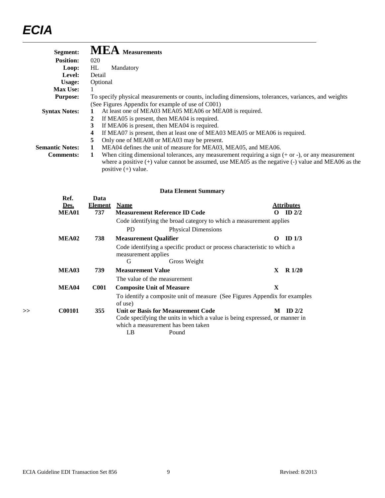| Segment:               | <b>MEA</b> Measurements                                                                              |
|------------------------|------------------------------------------------------------------------------------------------------|
| <b>Position:</b>       | 020                                                                                                  |
| Loop:                  | HL.<br>Mandatory                                                                                     |
| Level:                 | Detail                                                                                               |
| Usage:                 | Optional                                                                                             |
| <b>Max Use:</b>        |                                                                                                      |
| <b>Purpose:</b>        | To specify physical measurements or counts, including dimensions, tolerances, variances, and weights |
|                        | (See Figures Appendix for example of use of C001)                                                    |
| <b>Syntax Notes:</b>   | At least one of MEA03 MEA05 MEA06 or MEA08 is required.                                              |
|                        | If MEA05 is present, then MEA04 is required.                                                         |
|                        | If MEA06 is present, then MEA04 is required.<br>3                                                    |
|                        | If MEA07 is present, then at least one of MEA03 MEA05 or MEA06 is required.<br>4                     |
|                        | Only one of MEA08 or MEA03 may be present.<br>5                                                      |
| <b>Semantic Notes:</b> | MEA04 defines the unit of measure for MEA03, MEA05, and MEA06.                                       |
| <b>Comments:</b>       | When citing dimensional tolerances, any measurement requiring a sign $(+ or -)$ , or any measurement |

where a positive (+) value cannot be assumed, use MEA05 as the negative (-) value and MEA06 as the positive  $(+)$  value.

|    | Ref.<br><u>Des.</u> | Data<br><b>Element</b> | <b>Name</b>                                                                                                          | <b>Attributes</b> |
|----|---------------------|------------------------|----------------------------------------------------------------------------------------------------------------------|-------------------|
|    | MEA01               | 737                    | <b>Measurement Reference ID Code</b>                                                                                 | ID $2/2$<br>0     |
|    |                     |                        | Code identifying the broad category to which a measurement applies                                                   |                   |
|    |                     |                        | <b>PD</b><br><b>Physical Dimensions</b>                                                                              |                   |
|    | MEA02               | 738                    | <b>Measurement Qualifier</b>                                                                                         | ID $1/3$<br>0     |
|    |                     |                        | Code identifying a specific product or process characteristic to which a<br>measurement applies<br>G<br>Gross Weight |                   |
|    | MEA03               | 739                    | <b>Measurement Value</b>                                                                                             | $R\ 1/20$<br>X.   |
|    |                     |                        | The value of the measurement                                                                                         |                   |
|    | MEA04               | <b>C001</b>            | <b>Composite Unit of Measure</b>                                                                                     | X                 |
|    |                     |                        | To identify a composite unit of measure (See Figures Appendix for examples<br>of use)                                |                   |
| >> | <b>C00101</b>       | 355                    | <b>Unit or Basis for Measurement Code</b>                                                                            | ID $2/2$<br>М     |
|    |                     |                        | Code specifying the units in which a value is being expressed, or manner in                                          |                   |
|    |                     |                        | which a measurement has been taken                                                                                   |                   |
|    |                     |                        | LB<br>Pound                                                                                                          |                   |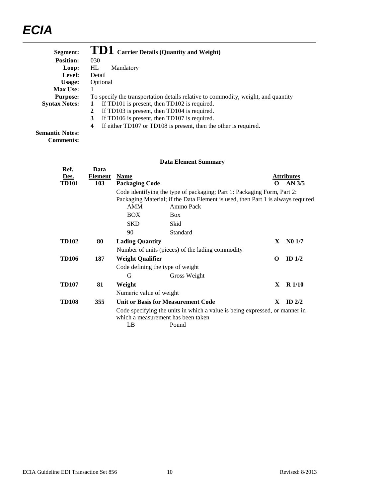| Segment:             | TD1 Carrier Details (Quantity and Weight)                                         |
|----------------------|-----------------------------------------------------------------------------------|
| <b>Position:</b>     | 030                                                                               |
| Loop:                | HL<br>Mandatory                                                                   |
| Level:               | Detail                                                                            |
| Usage:               | Optional                                                                          |
| <b>Max Use:</b>      |                                                                                   |
| <b>Purpose:</b>      | To specify the transportation details relative to commodity, weight, and quantity |
| <b>Syntax Notes:</b> | If $TD101$ is present, then $TD102$ is required.                                  |
|                      | If TD103 is present, then TD104 is required.<br>2                                 |
|                      | If TD106 is present, then TD107 is required.<br>3                                 |
|                      | If either TD107 or TD108 is present, then the other is required.<br>4             |
|                      |                                                                                   |

**Semantic Notes: Comments:**

|                              |                               |                                      | рата елениент баннита у                                                                                                                                    |          |                               |
|------------------------------|-------------------------------|--------------------------------------|------------------------------------------------------------------------------------------------------------------------------------------------------------|----------|-------------------------------|
| Ref.<br>Des.<br><b>TD101</b> | Data<br><b>Element</b><br>103 | <b>Name</b><br><b>Packaging Code</b> |                                                                                                                                                            |          | <b>Attributes</b><br>$AN$ 3/5 |
|                              |                               |                                      | Code identifying the type of packaging; Part 1: Packaging Form, Part 2:<br>Packaging Material; if the Data Element is used, then Part 1 is always required |          |                               |
|                              |                               | <b>AMM</b>                           | Ammo Pack                                                                                                                                                  |          |                               |
|                              |                               | <b>BOX</b>                           | <b>Box</b>                                                                                                                                                 |          |                               |
|                              |                               | <b>SKD</b>                           | Skid                                                                                                                                                       |          |                               |
|                              |                               | 90                                   | Standard                                                                                                                                                   |          |                               |
| <b>TD102</b>                 | 80                            | <b>Lading Quantity</b>               |                                                                                                                                                            | X.       | N01/7                         |
|                              |                               |                                      | Number of units (pieces) of the lading commodity                                                                                                           |          |                               |
| <b>TD106</b>                 | 187                           | <b>Weight Qualifier</b>              |                                                                                                                                                            | $\Omega$ | ID $1/2$                      |
|                              |                               |                                      | Code defining the type of weight                                                                                                                           |          |                               |
|                              |                               | G                                    | Gross Weight                                                                                                                                               |          |                               |
| <b>TD107</b>                 | 81                            | Weight                               |                                                                                                                                                            | X        | $R\ 1/10$                     |
|                              |                               | Numeric value of weight              |                                                                                                                                                            |          |                               |
| <b>TD108</b>                 | 355                           |                                      | <b>Unit or Basis for Measurement Code</b>                                                                                                                  | X        | ID $2/2$                      |
|                              |                               |                                      | Code specifying the units in which a value is being expressed, or manner in<br>which a measurement has been taken                                          |          |                               |
|                              |                               | LB                                   | Pound                                                                                                                                                      |          |                               |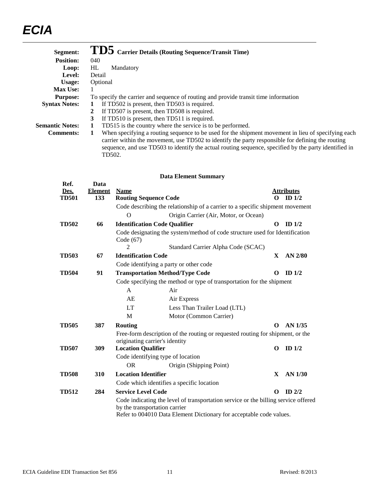| Segment:               | TD5 Carrier Details (Routing Sequence/Transit Time)                                                                                                                                                     |
|------------------------|---------------------------------------------------------------------------------------------------------------------------------------------------------------------------------------------------------|
| <b>Position:</b>       | 040                                                                                                                                                                                                     |
| Loop:                  | HL<br>Mandatory                                                                                                                                                                                         |
| Level:                 | Detail                                                                                                                                                                                                  |
| Usage:                 | Optional                                                                                                                                                                                                |
| <b>Max Use:</b>        |                                                                                                                                                                                                         |
| <b>Purpose:</b>        | To specify the carrier and sequence of routing and provide transit time information                                                                                                                     |
| <b>Syntax Notes:</b>   | If TD502 is present, then TD503 is required.                                                                                                                                                            |
|                        | If TD507 is present, then TD508 is required.                                                                                                                                                            |
|                        | If TD510 is present, then TD511 is required.<br>3                                                                                                                                                       |
| <b>Semantic Notes:</b> | TD515 is the country where the service is to be performed.                                                                                                                                              |
| <b>Comments:</b>       | When specifying a routing sequence to be used for the shipment movement in lieu of specifying each<br>carrier within the movement, use TD502 to identify the party responsible for defining the routing |

#### **Data Element Summary**

TD502.

sequence, and use TD503 to identify the actual routing sequence, specified by the party identified in

| Ref.<br>Des. | Data<br><b>Element</b> | <b>Name</b>                                                                                                         |                   | <b>Attributes</b> |
|--------------|------------------------|---------------------------------------------------------------------------------------------------------------------|-------------------|-------------------|
| <b>TD501</b> | 133                    | <b>Routing Sequence Code</b>                                                                                        | $\Omega$          | ID <sub>1/2</sub> |
|              |                        | Code describing the relationship of a carrier to a specific shipment movement                                       |                   |                   |
|              |                        | $\Omega$<br>Origin Carrier (Air, Motor, or Ocean)                                                                   |                   |                   |
| <b>TD502</b> | 66                     | <b>Identification Code Qualifier</b>                                                                                | O                 | ID $1/2$          |
|              |                        | Code designating the system/method of code structure used for Identification<br>Code (67)                           |                   |                   |
|              |                        | $\mathfrak{D}$<br>Standard Carrier Alpha Code (SCAC)                                                                |                   |                   |
| <b>TD503</b> | 67                     | <b>Identification Code</b>                                                                                          | X                 | AN 2/80           |
|              |                        | Code identifying a party or other code                                                                              |                   |                   |
| <b>TD504</b> | 91                     | <b>Transportation Method/Type Code</b>                                                                              | o                 | ID $1/2$          |
|              |                        | Code specifying the method or type of transportation for the shipment                                               |                   |                   |
|              |                        | Air<br>A                                                                                                            |                   |                   |
|              |                        | AE<br>Air Express                                                                                                   |                   |                   |
|              |                        | <b>LT</b><br>Less Than Trailer Load (LTL)                                                                           |                   |                   |
|              |                        | M<br>Motor (Common Carrier)                                                                                         |                   |                   |
| <b>TD505</b> | 387                    | <b>Routing</b>                                                                                                      | $\mathbf{\Omega}$ | AN 1/35           |
|              |                        | Free-form description of the routing or requested routing for shipment, or the                                      |                   |                   |
|              |                        | originating carrier's identity                                                                                      |                   |                   |
| <b>TD507</b> | 309                    | <b>Location Qualifier</b>                                                                                           | O                 | ID $1/2$          |
|              |                        | Code identifying type of location                                                                                   |                   |                   |
|              |                        | <b>OR</b><br>Origin (Shipping Point)                                                                                |                   |                   |
| <b>TD508</b> | 310                    | <b>Location Identifier</b>                                                                                          | X                 | AN 1/30           |
|              |                        | Code which identifies a specific location                                                                           |                   |                   |
| <b>TD512</b> | 284                    | <b>Service Level Code</b>                                                                                           | O                 | $ID$ $2/2$        |
|              |                        | Code indicating the level of transportation service or the billing service offered<br>by the transportation carrier |                   |                   |
|              |                        | Refer to 004010 Data Element Dictionary for acceptable code values.                                                 |                   |                   |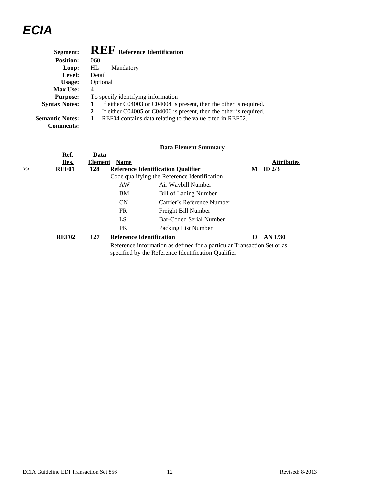| Segment:               | <b>REF</b> Reference Identification                                     |
|------------------------|-------------------------------------------------------------------------|
| <b>Position:</b>       | 060                                                                     |
| Loop:                  | HL.<br>Mandatory                                                        |
| Level:                 | Detail                                                                  |
| Usage:                 | Optional                                                                |
| <b>Max Use:</b>        | 4                                                                       |
| <b>Purpose:</b>        | To specify identifying information                                      |
| <b>Syntax Notes:</b>   | If either C04003 or C04004 is present, then the other is required.<br>1 |
|                        | If either C04005 or C04006 is present, then the other is required.      |
| <b>Semantic Notes:</b> | REF04 contains data relating to the value cited in REF02.<br>1          |
| <b>Comments:</b>       |                                                                         |

| >> | Ref.<br>Des.<br>REF01 | Data<br><b>Element</b> Name<br>128 |           | <b>Reference Identification Qualifier</b><br>Code qualifying the Reference Identification                                      | M        | <b>Attributes</b><br>ID $2/3$ |
|----|-----------------------|------------------------------------|-----------|--------------------------------------------------------------------------------------------------------------------------------|----------|-------------------------------|
|    |                       |                                    | AW        | Air Waybill Number                                                                                                             |          |                               |
|    |                       |                                    | BM        | <b>Bill of Lading Number</b>                                                                                                   |          |                               |
|    |                       |                                    | <b>CN</b> | Carrier's Reference Number                                                                                                     |          |                               |
|    |                       |                                    | <b>FR</b> | Freight Bill Number                                                                                                            |          |                               |
|    |                       |                                    | LS        | Bar-Coded Serial Number                                                                                                        |          |                               |
|    |                       |                                    | <b>PK</b> | Packing List Number                                                                                                            |          |                               |
|    | <b>REF02</b>          | 127                                |           | <b>Reference Identification</b>                                                                                                | $\Omega$ | $AN$ 1/30                     |
|    |                       |                                    |           | Reference information as defined for a particular Transaction Set or as<br>specified by the Reference Identification Qualifier |          |                               |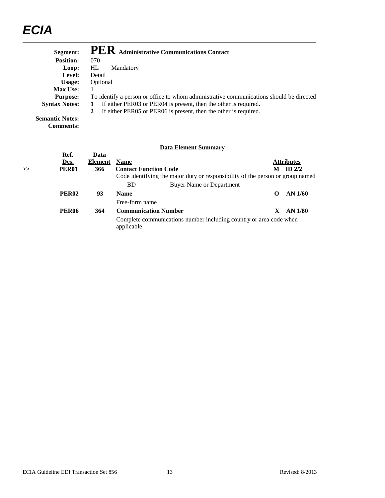| Segment:               | <b>PER</b> Administrative Communications Contact                                        |  |  |
|------------------------|-----------------------------------------------------------------------------------------|--|--|
| <b>Position:</b>       | 070                                                                                     |  |  |
| Loop:                  | HL<br>Mandatory                                                                         |  |  |
| Level:                 | Detail                                                                                  |  |  |
| Usage:                 | Optional                                                                                |  |  |
| <b>Max Use:</b>        |                                                                                         |  |  |
| <b>Purpose:</b>        | To identify a person or office to whom administrative communications should be directed |  |  |
| <b>Syntax Notes:</b>   | If either PER03 or PER04 is present, then the other is required.                        |  |  |
|                        | If either PER05 or PER06 is present, then the other is required.                        |  |  |
| <b>Semantic Notes:</b> |                                                                                         |  |  |

**Comments:**

|       | Ref.<br>Des.      | Data<br><b>Element</b> | <b>Name</b>                                                                      |    | <b>Attributes</b> |
|-------|-------------------|------------------------|----------------------------------------------------------------------------------|----|-------------------|
| $\gt$ | <b>PER01</b>      | 366                    | <b>Contact Function Code</b>                                                     | M  | ID $2/2$          |
|       |                   |                        | Code identifying the major duty or responsibility of the person or group named   |    |                   |
|       |                   |                        | <b>BD</b><br>Buyer Name or Department                                            |    |                   |
|       | PER <sub>02</sub> | 93                     | <b>Name</b>                                                                      | 0  | AN 1/60           |
|       |                   |                        | Free-form name                                                                   |    |                   |
|       | <b>PER06</b>      | 364                    | <b>Communication Number</b>                                                      | X. | AN 1/80           |
|       |                   |                        | Complete communications number including country or area code when<br>applicable |    |                   |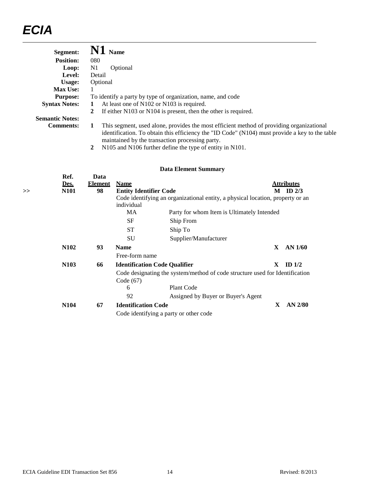| Segment:               | <b>Name</b>                                                                                                                                                                                                                                        |
|------------------------|----------------------------------------------------------------------------------------------------------------------------------------------------------------------------------------------------------------------------------------------------|
| <b>Position:</b>       | 080                                                                                                                                                                                                                                                |
| Loop:                  | N1<br>Optional                                                                                                                                                                                                                                     |
| Level:                 | Detail                                                                                                                                                                                                                                             |
| Usage:                 | Optional                                                                                                                                                                                                                                           |
| <b>Max Use:</b>        |                                                                                                                                                                                                                                                    |
| <b>Purpose:</b>        | To identify a party by type of organization, name, and code                                                                                                                                                                                        |
| <b>Syntax Notes:</b>   | At least one of N102 or N103 is required.<br>1                                                                                                                                                                                                     |
|                        | If either N103 or N104 is present, then the other is required.<br>2                                                                                                                                                                                |
| <b>Semantic Notes:</b> |                                                                                                                                                                                                                                                    |
| <b>Comments:</b>       | This segment, used alone, provides the most efficient method of providing organizational<br>1<br>identification. To obtain this efficiency the "ID Code" (N104) must provide a key to the table<br>maintained by the transaction processing party. |

**2** N105 and N106 further define the type of entity in N101.

| >> | Ref.<br>Des.<br><b>N101</b> | Data<br><b>Element</b><br>98 | <b>Name</b><br><b>Entity Identifier Code</b> |                                                                                | M            | <b>Attributes</b><br>ID $2/3$ |
|----|-----------------------------|------------------------------|----------------------------------------------|--------------------------------------------------------------------------------|--------------|-------------------------------|
|    |                             |                              |                                              | Code identifying an organizational entity, a physical location, property or an |              |                               |
|    |                             |                              | individual                                   |                                                                                |              |                               |
|    |                             |                              | MA                                           | Party for whom Item is Ultimately Intended                                     |              |                               |
|    |                             |                              | <b>SF</b>                                    | Ship From                                                                      |              |                               |
|    |                             |                              | <b>ST</b>                                    | Ship To                                                                        |              |                               |
|    |                             |                              | SU                                           | Supplier/Manufacturer                                                          |              |                               |
|    | <b>N102</b>                 | 93                           | <b>Name</b>                                  |                                                                                | $\mathbf x$  | AN $1/60$                     |
|    |                             |                              | Free-form name                               |                                                                                |              |                               |
|    | N <sub>103</sub>            | 66                           | <b>Identification Code Qualifier</b>         |                                                                                | X            | ID $1/2$                      |
|    |                             |                              | Code (67)                                    | Code designating the system/method of code structure used for Identification   |              |                               |
|    |                             |                              | 6                                            | <b>Plant Code</b>                                                              |              |                               |
|    |                             |                              | 92                                           | Assigned by Buyer or Buyer's Agent                                             |              |                               |
|    | <b>N104</b>                 | 67                           | <b>Identification Code</b>                   |                                                                                | $\mathbf{X}$ | $AN$ 2/80                     |
|    |                             |                              |                                              | Code identifying a party or other code                                         |              |                               |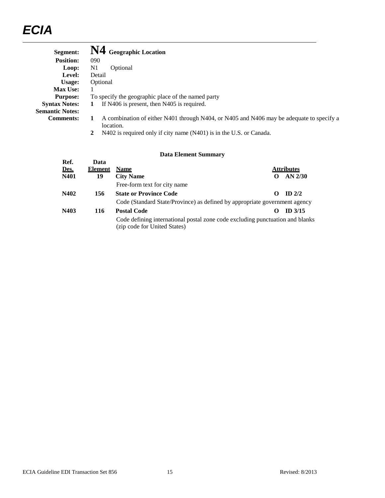| Segment:               | N4 Geographic Location                                                                                     |
|------------------------|------------------------------------------------------------------------------------------------------------|
| <b>Position:</b>       | 090                                                                                                        |
| Loop:                  | N1<br>Optional                                                                                             |
| Level:                 | Detail                                                                                                     |
| Usage:                 | Optional                                                                                                   |
| <b>Max Use:</b>        |                                                                                                            |
| <b>Purpose:</b>        | To specify the geographic place of the named party                                                         |
| <b>Syntax Notes:</b>   | If N406 is present, then N405 is required.<br>1                                                            |
| <b>Semantic Notes:</b> |                                                                                                            |
| <b>Comments:</b>       | A combination of either N401 through N404, or N405 and N406 may be adequate to specify a<br>1<br>location. |

**2** N402 is required only if city name (N401) is in the U.S. or Canada.

| Ref.<br>Des.<br>N401 | Data<br><b>Element</b><br>19 | <b>Name</b><br><b>City Name</b>                                                                               |                   | <b>Attributes</b><br>$AN$ 2/30 |
|----------------------|------------------------------|---------------------------------------------------------------------------------------------------------------|-------------------|--------------------------------|
|                      |                              | Free-form text for city name                                                                                  |                   |                                |
| N402                 | 156                          | <b>State or Province Code</b>                                                                                 | $\mathbf{\Omega}$ | ID $2/2$                       |
|                      |                              | Code (Standard State/Province) as defined by appropriate government agency                                    |                   |                                |
| N403                 | 116                          | <b>Postal Code</b>                                                                                            |                   | $ID$ 3/15                      |
|                      |                              | Code defining international postal zone code excluding punctuation and blanks<br>(zip code for United States) |                   |                                |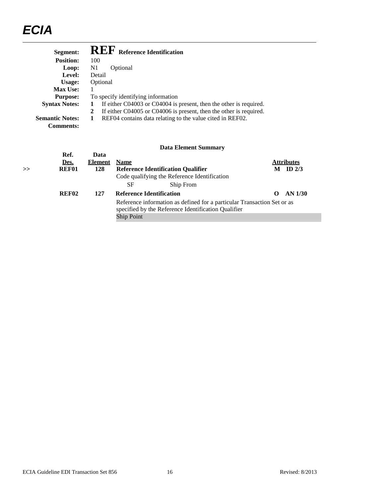| Segment:                                   | <b>REF</b> Reference Identification                                                                                                       |
|--------------------------------------------|-------------------------------------------------------------------------------------------------------------------------------------------|
| <b>Position:</b>                           | 100                                                                                                                                       |
| Loop:                                      | N1<br>Optional                                                                                                                            |
| Level:                                     | Detail                                                                                                                                    |
| Usage:                                     | Optional                                                                                                                                  |
| <b>Max Use:</b>                            |                                                                                                                                           |
| <b>Purpose:</b>                            | To specify identifying information                                                                                                        |
| <b>Syntax Notes:</b>                       | If either C04003 or C04004 is present, then the other is required.<br>1                                                                   |
| <b>Semantic Notes:</b><br><b>Comments:</b> | If either C04005 or C04006 is present, then the other is required.<br>2<br>REF04 contains data relating to the value cited in REF02.<br>1 |
|                                            | Data Element Summary                                                                                                                      |

| > | Ref.<br>Des.<br>REF01 | Data<br><b>Element</b><br>128 | <b>Name</b>       | <b>Reference Identification Qualifier</b><br>Code qualifying the Reference Identification                                      | M        | <b>Attributes</b><br>ID $2/3$ |
|---|-----------------------|-------------------------------|-------------------|--------------------------------------------------------------------------------------------------------------------------------|----------|-------------------------------|
|   |                       |                               | SF                | Ship From                                                                                                                      |          |                               |
|   | REF <sub>02</sub>     | 127                           |                   | <b>Reference Identification</b>                                                                                                | $\Omega$ | AN 1/30                       |
|   |                       |                               |                   | Reference information as defined for a particular Transaction Set or as<br>specified by the Reference Identification Qualifier |          |                               |
|   |                       |                               | <b>Ship Point</b> |                                                                                                                                |          |                               |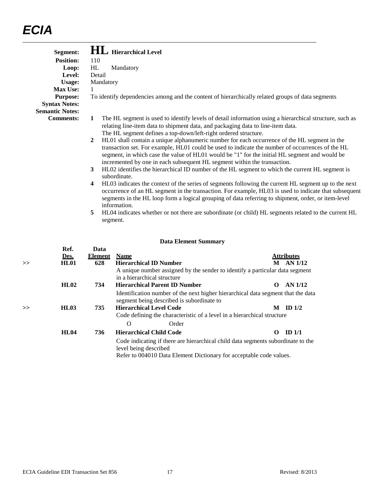| Segment:               | <b>HL</b> Hierarchical Level                                                                                                                                                                                                                                                                                                                                                                  |
|------------------------|-----------------------------------------------------------------------------------------------------------------------------------------------------------------------------------------------------------------------------------------------------------------------------------------------------------------------------------------------------------------------------------------------|
| <b>Position:</b>       | 110                                                                                                                                                                                                                                                                                                                                                                                           |
| Loop:                  | HL<br>Mandatory                                                                                                                                                                                                                                                                                                                                                                               |
| Level:                 | Detail                                                                                                                                                                                                                                                                                                                                                                                        |
| <b>Usage:</b>          | Mandatory                                                                                                                                                                                                                                                                                                                                                                                     |
| <b>Max Use:</b>        |                                                                                                                                                                                                                                                                                                                                                                                               |
| <b>Purpose:</b>        | To identify dependencies among and the content of hierarchically related groups of data segments                                                                                                                                                                                                                                                                                              |
| <b>Syntax Notes:</b>   |                                                                                                                                                                                                                                                                                                                                                                                               |
| <b>Semantic Notes:</b> |                                                                                                                                                                                                                                                                                                                                                                                               |
| <b>Comments:</b>       | The HL segment is used to identify levels of detail information using a hierarchical structure, such as<br>$\mathbf{1}$<br>relating line-item data to shipment data, and packaging data to line-item data.                                                                                                                                                                                    |
|                        | The HL segment defines a top-down/left-right ordered structure.                                                                                                                                                                                                                                                                                                                               |
|                        | HL01 shall contain a unique alphanumeric number for each occurrence of the HL segment in the<br>$\mathbf{2}$<br>transaction set. For example, HL01 could be used to indicate the number of occurrences of the HL<br>segment, in which case the value of HL01 would be "1" for the initial HL segment and would be<br>incremented by one in each subsequent HL segment within the transaction. |
|                        | HL02 identifies the hierarchical ID number of the HL segment to which the current HL segment is<br>3<br>subordinate.                                                                                                                                                                                                                                                                          |
|                        | HL03 indicates the context of the series of segments following the current HL segment up to the next<br>$\overline{4}$<br>occurrence of an HL segment in the transaction. For example, HL03 is used to indicate that subsequent<br>segments in the HL loop form a logical grouping of data referring to shipment, order, or item-level<br>information.                                        |
|                        | HL04 indicates whether or not there are subordinate (or child) HL segments related to the current HL<br>5<br>segment.                                                                                                                                                                                                                                                                         |

|    | Ref.<br>Des. | Data<br><b>Element</b> | <b>Name</b>           |                                                                                                                                                         |          | <b>Attributes</b> |
|----|--------------|------------------------|-----------------------|---------------------------------------------------------------------------------------------------------------------------------------------------------|----------|-------------------|
| >> | <b>HL01</b>  | 628                    |                       | <b>Hierarchical ID Number</b>                                                                                                                           | M        | AN 1/12           |
|    |              |                        |                       | A unique number assigned by the sender to identify a particular data segment<br>in a hierarchical structure                                             |          |                   |
|    | HL02         | 734                    |                       | <b>Hierarchical Parent ID Number</b>                                                                                                                    | $\Omega$ | AN 1/12           |
|    |              |                        |                       | Identification number of the next higher hierarchical data segment that the data<br>segment being described is subordinate to                           |          |                   |
| >> | <b>HL03</b>  | 735                    |                       | <b>Hierarchical Level Code</b>                                                                                                                          | M        | ID $1/2$          |
|    |              |                        |                       | Code defining the characteristic of a level in a hierarchical structure                                                                                 |          |                   |
|    |              |                        | $\Omega$              | Order                                                                                                                                                   |          |                   |
|    | <b>HL04</b>  | 736                    |                       | <b>Hierarchical Child Code</b>                                                                                                                          | 0        | ID <sub>1/1</sub> |
|    |              |                        | level being described | Code indicating if there are hierarchical child data segments subordinate to the<br>Refer to 004010 Data Element Dictionary for acceptable code values. |          |                   |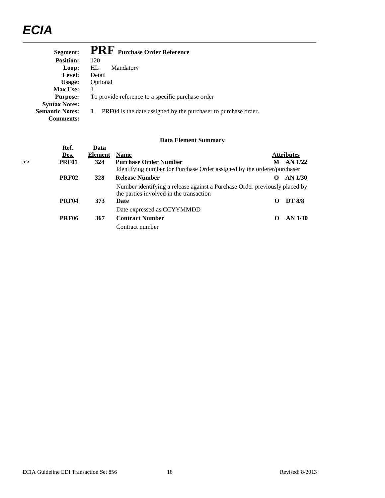| Segment:               | <b>PRF</b> Purchase Order Reference                                 |
|------------------------|---------------------------------------------------------------------|
| <b>Position:</b>       | 120                                                                 |
| Loop:                  | Mandatory<br>HL                                                     |
| Level:                 | Detail                                                              |
| Usage:                 | Optional                                                            |
| <b>Max Use:</b>        |                                                                     |
| <b>Purpose:</b>        | To provide reference to a specific purchase order                   |
| <b>Syntax Notes:</b>   |                                                                     |
| <b>Semantic Notes:</b> | 1<br>PRF04 is the date assigned by the purchaser to purchase order. |
| Comments:              |                                                                     |

|    | Ref.              | Data           |                                                                                                                       |                   |                   |
|----|-------------------|----------------|-----------------------------------------------------------------------------------------------------------------------|-------------------|-------------------|
|    | Des.              | <b>Element</b> | <b>Name</b>                                                                                                           |                   | <b>Attributes</b> |
| >> | <b>PRF01</b>      | 324            | <b>Purchase Order Number</b>                                                                                          | M                 | AN 1/22           |
|    |                   |                | Identifying number for Purchase Order assigned by the orderer/purchaser                                               |                   |                   |
|    | PRF <sub>02</sub> | 328            | <b>Release Number</b>                                                                                                 | o                 | AN 1/30           |
|    |                   |                | Number identifying a release against a Purchase Order previously placed by<br>the parties involved in the transaction |                   |                   |
|    | <b>PRF04</b>      | 373            | Date                                                                                                                  | 0                 | <b>DT 8/8</b>     |
|    |                   |                | Date expressed as CCYYMMDD                                                                                            |                   |                   |
|    | PRF <sub>06</sub> | 367            | <b>Contract Number</b>                                                                                                | $\mathbf{\Omega}$ | AN 1/30           |
|    |                   |                | Contract number                                                                                                       |                   |                   |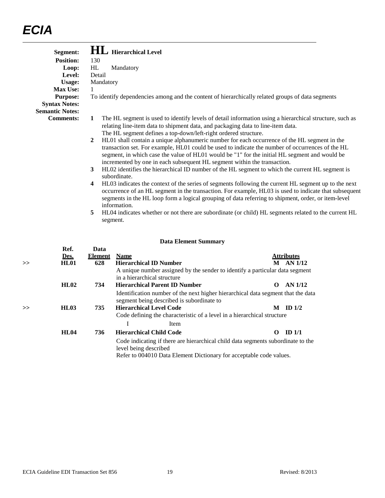| Mandatory<br>Detail<br>Mandatory                                                                                                                                                                                                                                                                                                                                              |
|-------------------------------------------------------------------------------------------------------------------------------------------------------------------------------------------------------------------------------------------------------------------------------------------------------------------------------------------------------------------------------|
|                                                                                                                                                                                                                                                                                                                                                                               |
|                                                                                                                                                                                                                                                                                                                                                                               |
|                                                                                                                                                                                                                                                                                                                                                                               |
|                                                                                                                                                                                                                                                                                                                                                                               |
|                                                                                                                                                                                                                                                                                                                                                                               |
| To identify dependencies among and the content of hierarchically related groups of data segments                                                                                                                                                                                                                                                                              |
|                                                                                                                                                                                                                                                                                                                                                                               |
|                                                                                                                                                                                                                                                                                                                                                                               |
| The HL segment is used to identify levels of detail information using a hierarchical structure, such as<br>relating line-item data to shipment data, and packaging data to line-item data.<br>The HL segment defines a top-down/left-right ordered structure.                                                                                                                 |
| HL01 shall contain a unique alphanumeric number for each occurrence of the HL segment in the<br>transaction set. For example, HL01 could be used to indicate the number of occurrences of the HL<br>segment, in which case the value of HL01 would be "1" for the initial HL segment and would be<br>incremented by one in each subsequent HL segment within the transaction. |
| HL02 identifies the hierarchical ID number of the HL segment to which the current HL segment is<br>subordinate.                                                                                                                                                                                                                                                               |
| HL03 indicates the context of the series of segments following the current HL segment up to the next<br>occurrence of an HL segment in the transaction. For example, HL03 is used to indicate that subsequent<br>segments in the HL loop form a logical grouping of data referring to shipment, order, or item-level<br>information.                                          |
| HL04 indicates whether or not there are subordinate (or child) HL segments related to the current HL<br>segment.                                                                                                                                                                                                                                                              |
|                                                                                                                                                                                                                                                                                                                                                                               |

|    | Ref.<br>Des. | Data<br><b>Element</b> | <b>Name</b>                                                                                                                                                                      |          | <b>Attributes</b> |
|----|--------------|------------------------|----------------------------------------------------------------------------------------------------------------------------------------------------------------------------------|----------|-------------------|
|    |              |                        |                                                                                                                                                                                  |          |                   |
| >> | <b>HL01</b>  | 628                    | <b>Hierarchical ID Number</b>                                                                                                                                                    | M        | AN 1/12           |
|    |              |                        | A unique number assigned by the sender to identify a particular data segment                                                                                                     |          |                   |
|    |              |                        | in a hierarchical structure                                                                                                                                                      |          |                   |
|    | HL02         | 734                    | <b>Hierarchical Parent ID Number</b>                                                                                                                                             | $\Omega$ | AN 1/12           |
|    |              |                        | Identification number of the next higher hierarchical data segment that the data<br>segment being described is subordinate to                                                    |          |                   |
| >> | <b>HL03</b>  | 735                    | <b>Hierarchical Level Code</b>                                                                                                                                                   | M        | ID $1/2$          |
|    |              |                        | Code defining the characteristic of a level in a hierarchical structure                                                                                                          |          |                   |
|    |              |                        | Item                                                                                                                                                                             |          |                   |
|    | <b>HL04</b>  | 736                    | <b>Hierarchical Child Code</b>                                                                                                                                                   | 0        | ID <sub>1/1</sub> |
|    |              |                        | Code indicating if there are hierarchical child data segments subordinate to the<br>level being described<br>Refer to 004010 Data Element Dictionary for acceptable code values. |          |                   |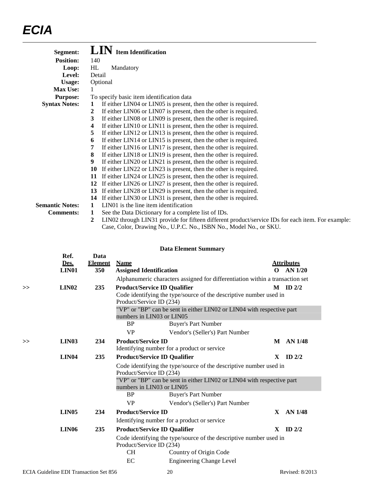| Segment:               | LIN<br><b>Item Identification</b>                                                                      |
|------------------------|--------------------------------------------------------------------------------------------------------|
| <b>Position:</b>       | 140                                                                                                    |
| Loop:                  | HL<br>Mandatory                                                                                        |
| Level:                 | Detail                                                                                                 |
| Usage:                 | Optional                                                                                               |
| Max Use:               |                                                                                                        |
| <b>Purpose:</b>        | To specify basic item identification data                                                              |
| <b>Syntax Notes:</b>   | If either LIN04 or LIN05 is present, then the other is required.<br>1                                  |
|                        | If either LIN06 or LIN07 is present, then the other is required.<br>2                                  |
|                        | If either LIN08 or LIN09 is present, then the other is required.<br>3                                  |
|                        | If either LIN10 or LIN11 is present, then the other is required.<br>4                                  |
|                        | If either LIN12 or LIN13 is present, then the other is required.<br>5                                  |
|                        | If either LIN14 or LIN15 is present, then the other is required.<br>6                                  |
|                        | If either LIN16 or LIN17 is present, then the other is required.<br>7                                  |
|                        | If either LIN18 or LIN19 is present, then the other is required.<br>8                                  |
|                        | 9<br>If either LIN20 or LIN21 is present, then the other is required.                                  |
|                        | If either LIN22 or LIN23 is present, then the other is required.<br>10                                 |
|                        | If either LIN24 or LIN25 is present, then the other is required.<br>11                                 |
|                        | 12 If either LIN26 or LIN27 is present, then the other is required.                                    |
|                        | If either LIN28 or LIN29 is present, then the other is required.<br>13                                 |
|                        | If either LIN30 or LIN31 is present, then the other is required.<br>14                                 |
| <b>Semantic Notes:</b> | LIN <sub>01</sub> is the line item identification<br>1                                                 |
| <b>Comments:</b>       | See the Data Dictionary for a complete list of IDs.<br>1                                               |
|                        | LIN02 through LIN31 provide for fifteen different product/service IDs for each item. For example:<br>2 |
|                        | Case, Color, Drawing No., U.P.C. No., ISBN No., Model No., or SKU.                                     |

| Ref.<br>Des.<br><b>LIN01</b> | Data<br><b>Element</b><br>350 | <b>Name</b>                         |                                             | $\Omega$                                                                                                                                                                                                                                                                                                                                                                                                  | <b>Attributes</b><br>$AN$ 1/20                                                                                                                                                                                                                                                                                                                                                |
|------------------------------|-------------------------------|-------------------------------------|---------------------------------------------|-----------------------------------------------------------------------------------------------------------------------------------------------------------------------------------------------------------------------------------------------------------------------------------------------------------------------------------------------------------------------------------------------------------|-------------------------------------------------------------------------------------------------------------------------------------------------------------------------------------------------------------------------------------------------------------------------------------------------------------------------------------------------------------------------------|
|                              |                               |                                     |                                             |                                                                                                                                                                                                                                                                                                                                                                                                           |                                                                                                                                                                                                                                                                                                                                                                               |
| LIN <sub>02</sub>            | 235                           |                                     |                                             |                                                                                                                                                                                                                                                                                                                                                                                                           | $M$ ID $2/2$                                                                                                                                                                                                                                                                                                                                                                  |
|                              |                               |                                     |                                             |                                                                                                                                                                                                                                                                                                                                                                                                           |                                                                                                                                                                                                                                                                                                                                                                               |
|                              |                               |                                     |                                             |                                                                                                                                                                                                                                                                                                                                                                                                           |                                                                                                                                                                                                                                                                                                                                                                               |
|                              |                               | <b>VP</b>                           |                                             |                                                                                                                                                                                                                                                                                                                                                                                                           |                                                                                                                                                                                                                                                                                                                                                                               |
| LIN03                        | 234                           |                                     |                                             | M                                                                                                                                                                                                                                                                                                                                                                                                         | AN 1/48                                                                                                                                                                                                                                                                                                                                                                       |
| <b>LIN04</b>                 | 235                           |                                     |                                             | X                                                                                                                                                                                                                                                                                                                                                                                                         | ID $2/2$                                                                                                                                                                                                                                                                                                                                                                      |
|                              |                               |                                     |                                             |                                                                                                                                                                                                                                                                                                                                                                                                           |                                                                                                                                                                                                                                                                                                                                                                               |
|                              |                               | <b>BP</b>                           |                                             |                                                                                                                                                                                                                                                                                                                                                                                                           |                                                                                                                                                                                                                                                                                                                                                                               |
|                              |                               | <b>VP</b>                           | Vendor's (Seller's) Part Number             |                                                                                                                                                                                                                                                                                                                                                                                                           |                                                                                                                                                                                                                                                                                                                                                                               |
|                              |                               | <b>Product/Service ID</b>           |                                             |                                                                                                                                                                                                                                                                                                                                                                                                           |                                                                                                                                                                                                                                                                                                                                                                               |
| LIN <sub>05</sub>            | 234                           |                                     |                                             | X                                                                                                                                                                                                                                                                                                                                                                                                         |                                                                                                                                                                                                                                                                                                                                                                               |
|                              |                               |                                     | Identifying number for a product or service |                                                                                                                                                                                                                                                                                                                                                                                                           | AN 1/48                                                                                                                                                                                                                                                                                                                                                                       |
| <b>LIN06</b>                 | 235                           | <b>Product/Service ID Qualifier</b> |                                             | X                                                                                                                                                                                                                                                                                                                                                                                                         | ID $2/2$                                                                                                                                                                                                                                                                                                                                                                      |
|                              |                               |                                     | <b>BP</b>                                   | <b>Assigned Identification</b><br><b>Product/Service ID Qualifier</b><br>Product/Service ID (234)<br>numbers in LIN03 or LIN05<br><b>Buyer's Part Number</b><br>Vendor's (Seller's) Part Number<br><b>Product/Service ID</b><br>Identifying number for a product or service<br><b>Product/Service ID Qualifier</b><br>Product/Service ID (234)<br>numbers in LIN03 or LIN05<br><b>Buyer's Part Number</b> | Alphanumeric characters assigned for differentiation within a transaction set<br>Code identifying the type/source of the descriptive number used in<br>"VP" or "BP" can be sent in either LIN02 or LIN04 with respective part<br>Code identifying the type/source of the descriptive number used in<br>"VP" or "BP" can be sent in either LIN02 or LIN04 with respective part |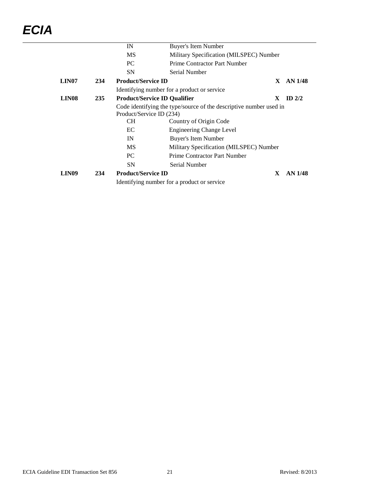|                   |     | IN                                  | Buyer's Item Number                                                |    |                    |
|-------------------|-----|-------------------------------------|--------------------------------------------------------------------|----|--------------------|
|                   |     | MS                                  | Military Specification (MILSPEC) Number                            |    |                    |
|                   |     | PC.                                 | Prime Contractor Part Number                                       |    |                    |
|                   |     | <b>SN</b>                           | Serial Number                                                      |    |                    |
| LIN <sub>07</sub> | 234 | <b>Product/Service ID</b>           |                                                                    | X. | AN 1/48            |
|                   |     |                                     | Identifying number for a product or service                        |    |                    |
| LIN <sub>08</sub> | 235 | <b>Product/Service ID Qualifier</b> |                                                                    | X. | $ID$ 2/2           |
|                   |     | Product/Service ID (234)            | Code identifying the type/source of the descriptive number used in |    |                    |
|                   |     | <b>CH</b>                           | Country of Origin Code                                             |    |                    |
|                   |     | EC                                  | <b>Engineering Change Level</b>                                    |    |                    |
|                   |     | IN                                  | Buyer's Item Number                                                |    |                    |
|                   |     | MS                                  | Military Specification (MILSPEC) Number                            |    |                    |
|                   |     | PC.                                 | Prime Contractor Part Number                                       |    |                    |
|                   |     | <b>SN</b>                           | Serial Number                                                      |    |                    |
| LIN <sub>09</sub> | 234 | <b>Product/Service ID</b>           | Identifying number for a product or service                        | X. | AN <sub>1/48</sub> |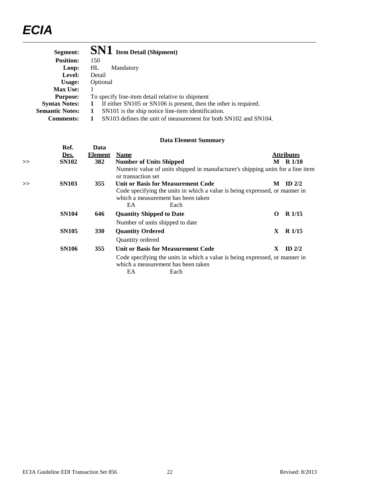| Segment:               | <b>SN1</b> Item Detail (Shipment)                                                |
|------------------------|----------------------------------------------------------------------------------|
| <b>Position:</b>       | 150                                                                              |
| Loop:                  | HL<br>Mandatory                                                                  |
| Level:                 | Detail                                                                           |
| Usage:                 | Optional                                                                         |
| <b>Max Use:</b>        |                                                                                  |
| <b>Purpose:</b>        | To specify line-item detail relative to shipment                                 |
| <b>Syntax Notes:</b>   | If either SN105 or SN106 is present, then the other is required.<br>$\mathbf{1}$ |
| <b>Semantic Notes:</b> | SN101 is the ship notice line-item identification.                               |
| <b>Comments:</b>       | SN103 defines the unit of measurement for both SN102 and SN104.                  |

| > | Ref.<br>Des.<br><b>SN102</b> | Data<br><b>Element</b><br>382 | <b>Name</b><br><b>Number of Units Shipped</b>                                                                                                                         |    | <u>Attributes</u><br>$M$ R $1/10$ |
|---|------------------------------|-------------------------------|-----------------------------------------------------------------------------------------------------------------------------------------------------------------------|----|-----------------------------------|
|   |                              |                               | Numeric value of units shipped in manufacturer's shipping units for a line item<br>or transaction set                                                                 |    |                                   |
| > | <b>SN103</b>                 | 355                           | Unit or Basis for Measurement Code<br>Code specifying the units in which a value is being expressed, or manner in<br>which a measurement has been taken<br>EA<br>Each | M  | ID $2/2$                          |
|   | <b>SN104</b>                 | 646                           | <b>Quantity Shipped to Date</b><br>Number of units shipped to date                                                                                                    | 0  | R <sub>1/15</sub>                 |
|   | <b>SN105</b>                 | 330                           | <b>Quantity Ordered</b><br>Quantity ordered                                                                                                                           | X  | R <sub>1/15</sub>                 |
|   | <b>SN106</b>                 | 355                           | <b>Unit or Basis for Measurement Code</b>                                                                                                                             | X. | ID $2/2$                          |
|   |                              |                               | Code specifying the units in which a value is being expressed, or manner in<br>which a measurement has been taken<br>EA<br>Each                                       |    |                                   |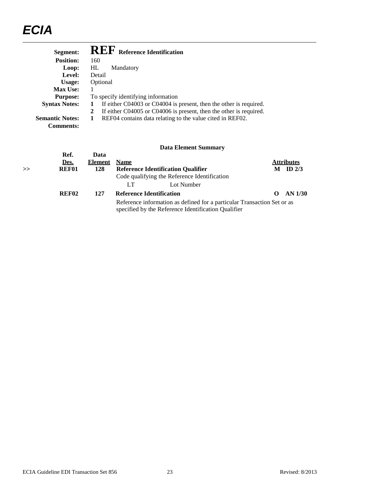| Segment:               | <b>REF</b> Reference Identification                                     |
|------------------------|-------------------------------------------------------------------------|
| <b>Position:</b>       | 160                                                                     |
| Loop:                  | HL<br>Mandatory                                                         |
| Level:                 | Detail                                                                  |
| Usage:                 | Optional                                                                |
| <b>Max Use:</b>        | 1                                                                       |
| <b>Purpose:</b>        | To specify identifying information                                      |
| <b>Syntax Notes:</b>   | If either C04003 or C04004 is present, then the other is required.<br>1 |
|                        | If either C04005 or C04006 is present, then the other is required.<br>2 |
| <b>Semantic Notes:</b> | REF04 contains data relating to the value cited in REF02.<br>1          |
| <b>Comments:</b>       |                                                                         |
|                        |                                                                         |
|                        |                                                                         |

| $\gt$ | Ref.<br>Des.<br><b>REF01</b> | Data<br><b>Element</b><br>128 | <b>Name</b><br><b>Reference Identification Qualifier</b><br>Code qualifying the Reference Identification                       | <b>Attributes</b><br>ID $2/3$<br>M |
|-------|------------------------------|-------------------------------|--------------------------------------------------------------------------------------------------------------------------------|------------------------------------|
|       |                              |                               | Lot Number<br>LТ                                                                                                               |                                    |
|       | REF <sub>02</sub>            | 127                           | <b>Reference Identification</b>                                                                                                | AN 1/30                            |
|       |                              |                               | Reference information as defined for a particular Transaction Set or as<br>specified by the Reference Identification Qualifier |                                    |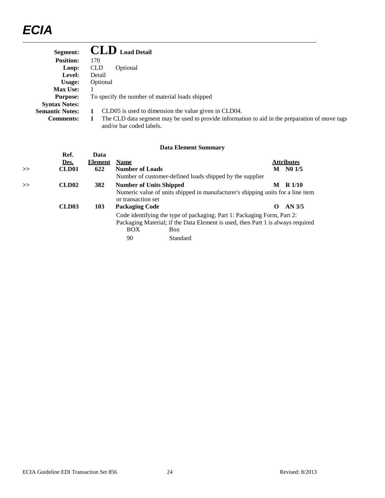| Segment:               | <b>CLD</b> Load Detail                                                                                                     |
|------------------------|----------------------------------------------------------------------------------------------------------------------------|
| <b>Position:</b>       | 170                                                                                                                        |
| Loop:                  | <b>CLD</b><br>Optional                                                                                                     |
| Level:                 | Detail                                                                                                                     |
| Usage:                 | Optional                                                                                                                   |
| <b>Max Use:</b>        |                                                                                                                            |
| <b>Purpose:</b>        | To specify the number of material loads shipped                                                                            |
| <b>Syntax Notes:</b>   |                                                                                                                            |
| <b>Semantic Notes:</b> | CLD05 is used to dimension the value given in CLD04.                                                                       |
| <b>Comments:</b>       | The CLD data segment may be used to provide information to aid in the preparation of move tags<br>and/or bar coded labels. |

|   | Ref.              | Data           |                                |                                                                                 |   |                   |
|---|-------------------|----------------|--------------------------------|---------------------------------------------------------------------------------|---|-------------------|
|   | Des.              | <b>Element</b> | <b>Name</b>                    |                                                                                 |   | <u>Attributes</u> |
| > | CLD <sub>01</sub> | 622            | <b>Number of Loads</b>         |                                                                                 | M | N01/5             |
|   |                   |                |                                | Number of customer-defined loads shipped by the supplier                        |   |                   |
| > | CLD <sub>02</sub> | 382            | <b>Number of Units Shipped</b> |                                                                                 | M | R 1/10            |
|   |                   |                |                                | Numeric value of units shipped in manufacturer's shipping units for a line item |   |                   |
|   |                   |                | or transaction set             |                                                                                 |   |                   |
|   | CLD <sub>03</sub> | 103            | <b>Packaging Code</b>          |                                                                                 | 0 | AN <sub>3/5</sub> |
|   |                   |                |                                | Code identifying the type of packaging; Part 1: Packaging Form, Part 2:         |   |                   |
|   |                   |                |                                | Packaging Material; if the Data Element is used, then Part 1 is always required |   |                   |
|   |                   |                | BOX                            | <b>Box</b>                                                                      |   |                   |
|   |                   |                | 90                             | Standard                                                                        |   |                   |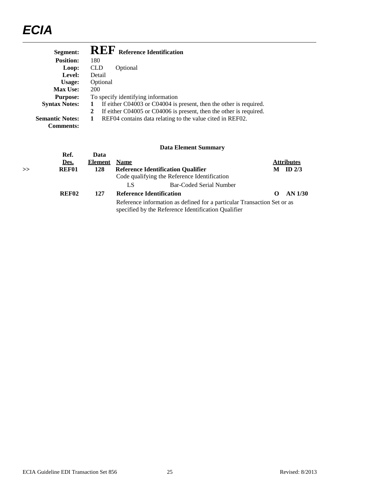| Segment:               | <b>REF</b> Reference Identification                                     |
|------------------------|-------------------------------------------------------------------------|
| <b>Position:</b>       | 180                                                                     |
| Loop:                  | <b>CLD</b><br>Optional                                                  |
| Level:                 | Detail                                                                  |
| Usage:                 | Optional                                                                |
| <b>Max Use:</b>        | 200                                                                     |
| <b>Purpose:</b>        | To specify identifying information                                      |
| <b>Syntax Notes:</b>   | If either C04003 or C04004 is present, then the other is required.<br>1 |
|                        | If either C04005 or C04006 is present, then the other is required.<br>2 |
| <b>Semantic Notes:</b> | REF04 contains data relating to the value cited in REF02.<br>1          |
| <b>Comments:</b>       |                                                                         |
|                        |                                                                         |

| $\gt$ | Ref.<br>Des.<br>REF01 | Data<br><b>Element</b><br>128 | <b>Name</b>                     | <b>Reference Identification Qualifier</b><br>Code qualifying the Reference Identification                                      | M | <b>Attributes</b><br>ID $2/3$ |
|-------|-----------------------|-------------------------------|---------------------------------|--------------------------------------------------------------------------------------------------------------------------------|---|-------------------------------|
|       |                       |                               | LS                              | Bar-Coded Serial Number                                                                                                        |   |                               |
|       | REF <sub>02</sub>     | 127                           | <b>Reference Identification</b> |                                                                                                                                |   | AN 1/30                       |
|       |                       |                               |                                 | Reference information as defined for a particular Transaction Set or as<br>specified by the Reference Identification Qualifier |   |                               |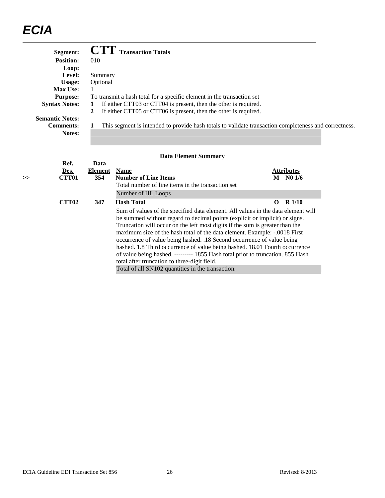|    | Segment:               |                | <b>Transaction Totals</b>                                                                                                                                                                                                                                                                                                                                                                                                                                                             |                                                                                                       |
|----|------------------------|----------------|---------------------------------------------------------------------------------------------------------------------------------------------------------------------------------------------------------------------------------------------------------------------------------------------------------------------------------------------------------------------------------------------------------------------------------------------------------------------------------------|-------------------------------------------------------------------------------------------------------|
|    | <b>Position:</b>       | 010            |                                                                                                                                                                                                                                                                                                                                                                                                                                                                                       |                                                                                                       |
|    | Loop:                  |                |                                                                                                                                                                                                                                                                                                                                                                                                                                                                                       |                                                                                                       |
|    | Level:                 | Summary        |                                                                                                                                                                                                                                                                                                                                                                                                                                                                                       |                                                                                                       |
|    | Usage:                 | Optional       |                                                                                                                                                                                                                                                                                                                                                                                                                                                                                       |                                                                                                       |
|    | Max Use:               |                |                                                                                                                                                                                                                                                                                                                                                                                                                                                                                       |                                                                                                       |
|    | <b>Purpose:</b>        |                | To transmit a hash total for a specific element in the transaction set                                                                                                                                                                                                                                                                                                                                                                                                                |                                                                                                       |
|    | <b>Syntax Notes:</b>   | 1              | If either CTT03 or CTT04 is present, then the other is required.                                                                                                                                                                                                                                                                                                                                                                                                                      |                                                                                                       |
|    | <b>Semantic Notes:</b> | $\mathbf{2}$   | If either CTT05 or CTT06 is present, then the other is required.                                                                                                                                                                                                                                                                                                                                                                                                                      |                                                                                                       |
|    | <b>Comments:</b>       |                |                                                                                                                                                                                                                                                                                                                                                                                                                                                                                       | This segment is intended to provide hash totals to validate transaction completeness and correctness. |
|    | Notes:                 |                |                                                                                                                                                                                                                                                                                                                                                                                                                                                                                       |                                                                                                       |
|    |                        |                |                                                                                                                                                                                                                                                                                                                                                                                                                                                                                       |                                                                                                       |
|    |                        |                |                                                                                                                                                                                                                                                                                                                                                                                                                                                                                       |                                                                                                       |
|    |                        |                | <b>Data Element Summary</b>                                                                                                                                                                                                                                                                                                                                                                                                                                                           |                                                                                                       |
|    | Ref.                   | Data           |                                                                                                                                                                                                                                                                                                                                                                                                                                                                                       |                                                                                                       |
|    | Des.                   | <b>Element</b> | <b>Name</b>                                                                                                                                                                                                                                                                                                                                                                                                                                                                           | <b>Attributes</b>                                                                                     |
| >> | <b>CTT01</b>           | 354            | <b>Number of Line Items</b>                                                                                                                                                                                                                                                                                                                                                                                                                                                           | M N0 1/6                                                                                              |
|    |                        |                | Total number of line items in the transaction set                                                                                                                                                                                                                                                                                                                                                                                                                                     |                                                                                                       |
|    |                        |                | Number of HL Loops                                                                                                                                                                                                                                                                                                                                                                                                                                                                    |                                                                                                       |
|    | <b>CTT02</b>           | 347            | <b>Hash Total</b>                                                                                                                                                                                                                                                                                                                                                                                                                                                                     | $R$ 1/10<br>$\Omega$                                                                                  |
|    |                        |                | Sum of values of the specified data element. All values in the data element will<br>be summed without regard to decimal points (explicit or implicit) or signs.<br>Truncation will occur on the left most digits if the sum is greater than the<br>maximum size of the hash total of the data element. Example: -.0018 First<br>occurrence of value being hashed. .18 Second occurrence of value being<br>hashed. 1.8 Third occurrence of value being hashed. 18.01 Fourth occurrence |                                                                                                       |
|    |                        |                | of value being hashed. -------- 1855 Hash total prior to truncation. 855 Hash                                                                                                                                                                                                                                                                                                                                                                                                         |                                                                                                       |
|    |                        |                | total after truncation to three-digit field.                                                                                                                                                                                                                                                                                                                                                                                                                                          |                                                                                                       |
|    |                        |                | Total of all SN102 quantities in the transaction.                                                                                                                                                                                                                                                                                                                                                                                                                                     |                                                                                                       |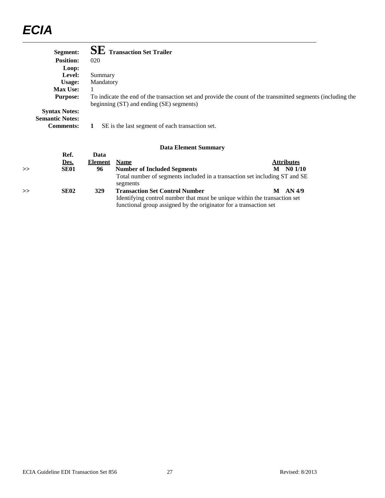|    | Segment:                                       |                | <b>Transaction Set Trailer</b>                                                         |                                                                                                             |  |
|----|------------------------------------------------|----------------|----------------------------------------------------------------------------------------|-------------------------------------------------------------------------------------------------------------|--|
|    | <b>Position:</b>                               | 020            |                                                                                        |                                                                                                             |  |
|    | Loop:                                          |                |                                                                                        |                                                                                                             |  |
|    | Level:                                         | Summary        |                                                                                        |                                                                                                             |  |
|    | Usage:                                         | Mandatory      |                                                                                        |                                                                                                             |  |
|    | <b>Max Use:</b>                                |                |                                                                                        |                                                                                                             |  |
|    | <b>Purpose:</b>                                |                | beginning (ST) and ending (SE) segments)                                               | To indicate the end of the transaction set and provide the count of the transmitted segments (including the |  |
|    | <b>Syntax Notes:</b><br><b>Semantic Notes:</b> |                |                                                                                        |                                                                                                             |  |
|    | <b>Comments:</b>                               | 1              | SE is the last segment of each transaction set.                                        |                                                                                                             |  |
|    |                                                |                | <b>Data Element Summary</b>                                                            |                                                                                                             |  |
|    | Ref.                                           | Data           |                                                                                        |                                                                                                             |  |
|    | Des.                                           | <b>Element</b> | <b>Name</b>                                                                            | <b>Attributes</b>                                                                                           |  |
| >> | <b>SE01</b>                                    | 96             | <b>Number of Included Segments</b>                                                     | $M$ No $1/10$                                                                                               |  |
|    |                                                |                | Total number of segments included in a transaction set including ST and SE<br>segments |                                                                                                             |  |
| >> | <b>SE02</b>                                    | 329            | <b>Transaction Set Control Number</b>                                                  | AN 4/9<br>M                                                                                                 |  |
|    |                                                |                | Identifying control number that must be unique within the transaction set              |                                                                                                             |  |
|    |                                                |                | functional group assigned by the originator for a transaction set                      |                                                                                                             |  |